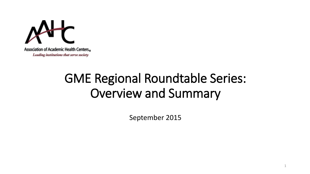

Leading institutions that serve society

## GME Regional Roundtable Series: Overview and Summary

September 2015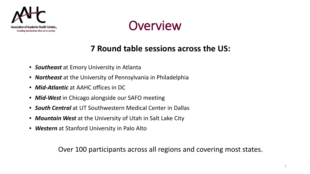



#### **7 Round table sessions across the US:**

- *Southeast* at Emory University in Atlanta
- *Northeast* at the University of Pennsylvania in Philadelphia
- *Mid-Atlantic* at AAHC offices in DC
- *Mid-West* in Chicago alongside our SAFO meeting
- *South Central* at UT Southwestern Medical Center in Dallas
- *Mountain West* at the University of Utah in Salt Lake City
- *Western* at Stanford University in Palo Alto

Over 100 participants across all regions and covering most states.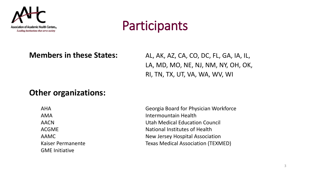

### **Participants**

**Members in these States:** AL, AK, AZ, CA, CO, DC, FL, GA, IA, IL, LA, MD, MO, NE, NJ, NM, NY, OH, OK, RI, TN, TX, UT, VA, WA, WV, WI

#### **Other organizations:**

GME Initiative

AHA Georgia Board for Physician Workforce AMA Intermountain Health AACN Utah Medical Education Council ACGME ACGME National Institutes of Health AAMC AAMC New Jersey Hospital Association Kaiser Permanente Texas Medical Association (TEXMED)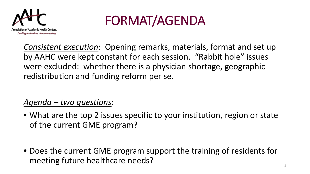

# FORMAT/AGENDA

*Consistent execution*: Opening remarks, materials, format and set up by AAHC were kept constant for each session. "Rabbit hole" issues were excluded: whether there is a physician shortage, geographic redistribution and funding reform per se.

#### *Agenda – two questions*:

- What are the top 2 issues specific to your institution, region or state of the current GME program?
- Does the current GME program support the training of residents for meeting future healthcare needs?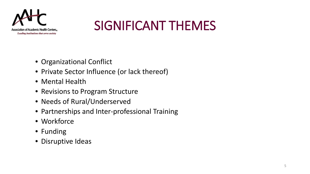

## SIGNIFICANT THEMES

- Organizational Conflict
- Private Sector Influence (or lack thereof)
- Mental Health
- Revisions to Program Structure
- Needs of Rural/Underserved
- Partnerships and Inter-professional Training
- Workforce
- Funding
- Disruptive Ideas